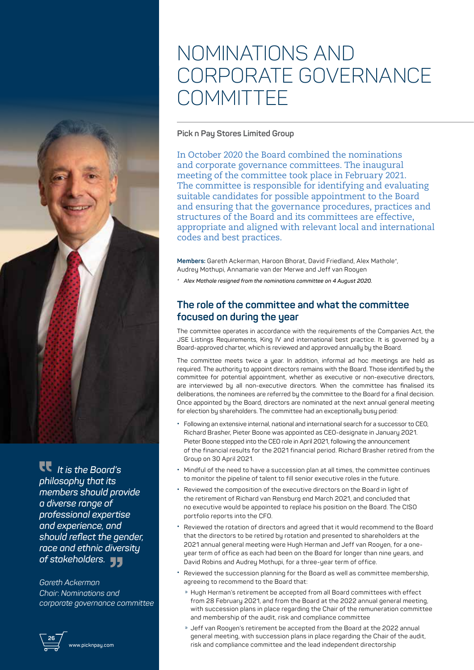## NOMINATIONS AND CORPORATE GOVERNANCE **COMMITTEE**

## **Pick n Pay Stores Limited Group**

In October 2020 the Board combined the nominations and corporate governance committees. The inaugural meeting of the committee took place in February 2021. The committee is responsible for identifying and evaluating suitable candidates for possible appointment to the Board and ensuring that the governance procedures, practices and structures of the Board and its committees are effective, appropriate and aligned with relevant local and international codes and best practices.

**Members:** Gareth Ackerman, Haroon Bhorat, David Friedland, Alex Mathole\*, Audrey Mothupi, Annamarie van der Merwe and Jeff van Rooyen

*\* Alex Mathole resigned from the nominations committee on 4 August 2020.*

## **The role of the committee and what the committee focused on during the year**

The committee operates in accordance with the requirements of the Companies Act, the JSE Listings Requirements, King IV and international best practice. It is governed by a Board-approved charter, which is reviewed and approved annually by the Board.

The committee meets twice a year. In addition, informal ad hoc meetings are held as required. The authority to appoint directors remains with the Board. Those identified by the committee for potential appointment, whether as executive or non-executive directors, are interviewed by all non-executive directors. When the committee has finalised its deliberations, the nominees are referred by the committee to the Board for a final decision. Once appointed by the Board, directors are nominated at the next annual general meeting for election by shareholders. The committee had an exceptionally busy period:

- **•** Following an extensive internal, national and international search for a successor to CEO, Richard Brasher, Pieter Boone was appointed as CEO-designate in January 2021. Pieter Boone stepped into the CEO role in April 2021, following the announcement of the financial results for the 2021 financial period. Richard Brasher retired from the Group on 30 April 2021.
- **•** Mindful of the need to have a succession plan at all times, the committee continues to monitor the pipeline of talent to fill senior executive roles in the future.
- **•** Reviewed the composition of the executive directors on the Board in light of the retirement of Richard van Rensburg end March 2021, and concluded that no executive would be appointed to replace his position on the Board. The CISO portfolio reports into the CFO.
- **•** Reviewed the rotation of directors and agreed that it would recommend to the Board that the directors to be retired by rotation and presented to shareholders at the 2021 annual general meeting were Hugh Herman and Jeff van Rooyen, for a oneyear term of office as each had been on the Board for longer than nine years, and David Robins and Audrey Mothupi, for a three-year term of office.
- **•** Reviewed the succession planning for the Board as well as committee membership, agreeing to recommend to the Board that:
	- » Hugh Herman's retirement be accepted from all Board committees with effect from 28 February 2021, and from the Board at the 2022 annual general meeting, with succession plans in place regarding the Chair of the remuneration committee and membership of the audit, risk and compliance committee
	- » Jeff van Rooyen's retirement be accepted from the Board at the 2022 annual general meeting, with succession plans in place regarding the Chair of the audit, risk and compliance committee and the lead independent directorship

 *It is the Board's philosophy that its members should provide a diverse range of professional expertise and experience, and should reflect the gender, race and ethnic diversity of stakeholders.*

*Gareth Ackerman Chair*: *Nominations and corporate governance committee*